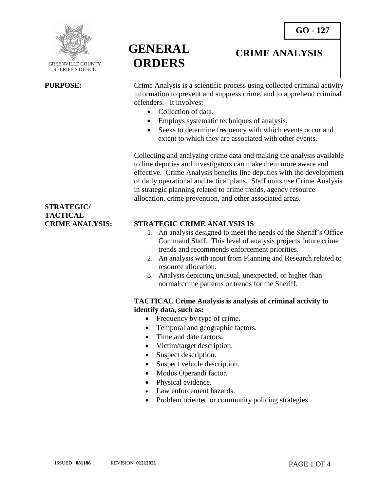

 GREENVILLE COUNTY SHERIFF'S OFFICE

 $\overline{a}$ 

# **GENERAL ORDERS**

## **CRIME ANALYSIS**

**PURPOSE:** Crime Analysis is a scientific process using collected criminal activity information to prevent and suppress crime, and to apprehend criminal offenders. It involves:

- Collection of data
- Employs systematic techniques of analysis.
- Seeks to determine frequency with which events occur and extent to which they are associated with other events.

Collecting and analyzing crime data and making the analysis available to line deputies and investigators can make them more aware and effective. Crime Analysis benefits line deputies with the development of daily operational and tactical plans. Staff units use Crime Analysis in strategic planning related to crime trends, agency resource allocation, crime prevention, and other associated areas.

### **CRIME ANALYSIS: STRATEGIC CRIME ANALYSIS IS**:

- 1. An analysis designed to meet the needs of the Sheriff's Office Command Staff. This level of analysis projects future crime trends and recommends enforcement priorities.
- 2. An analysis with input from Planning and Research related to resource allocation.
- 3. Analysis depicting unusual, unexpected, or higher than normal crime patterns or trends for the Sheriff.

#### **TACTICAL Crime Analysis is analysis of criminal activity to identify data, such as:**

- Frequency by type of crime.
- Temporal and geographic factors.
- Time and date factors.
- Victim/target description.
- Suspect description.
- Suspect vehicle description.
- Modus Operandi factor.
- Physical evidence.
- Law enforcement hazards.
- Problem oriented or community policing strategies.

# **STRATEGIC/ TACTICAL**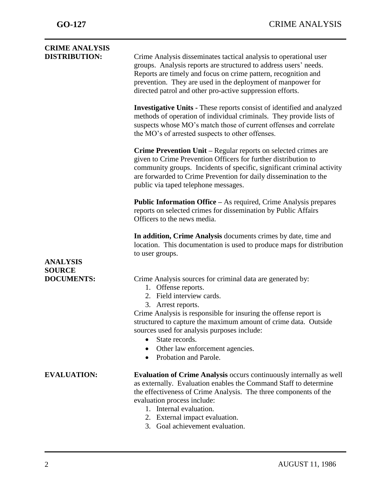| Crime Analysis disseminates tactical analysis to operational user<br>groups. Analysis reports are structured to address users' needs.<br>Reports are timely and focus on crime pattern, recognition and<br>prevention. They are used in the deployment of manpower for<br>directed patrol and other pro-active suppression efforts.               |
|---------------------------------------------------------------------------------------------------------------------------------------------------------------------------------------------------------------------------------------------------------------------------------------------------------------------------------------------------|
| <b>Investigative Units - These reports consist of identified and analyzed</b><br>methods of operation of individual criminals. They provide lists of<br>suspects whose MO's match those of current offenses and correlate<br>the MO's of arrested suspects to other offenses.                                                                     |
| Crime Prevention Unit - Regular reports on selected crimes are<br>given to Crime Prevention Officers for further distribution to<br>community groups. Incidents of specific, significant criminal activity<br>are forwarded to Crime Prevention for daily dissemination to the<br>public via taped telephone messages.                            |
| <b>Public Information Office – As required, Crime Analysis prepares</b><br>reports on selected crimes for dissemination by Public Affairs<br>Officers to the news media.                                                                                                                                                                          |
| In addition, Crime Analysis documents crimes by date, time and<br>location. This documentation is used to produce maps for distribution<br>to user groups.                                                                                                                                                                                        |
|                                                                                                                                                                                                                                                                                                                                                   |
| Crime Analysis sources for criminal data are generated by:<br>1. Offense reports.<br>2. Field interview cards.<br>3. Arrest reports.                                                                                                                                                                                                              |
| Crime Analysis is responsible for insuring the offense report is<br>structured to capture the maximum amount of crime data. Outside<br>sources used for analysis purposes include:<br>State records.<br>$\bullet$                                                                                                                                 |
| Other law enforcement agencies.<br>$\bullet$<br>Probation and Parole.<br>$\bullet$                                                                                                                                                                                                                                                                |
| <b>Evaluation of Crime Analysis occurs continuously internally as well</b><br>as externally. Evaluation enables the Command Staff to determine<br>the effectiveness of Crime Analysis. The three components of the<br>evaluation process include:<br>1. Internal evaluation.<br>2. External impact evaluation.<br>3. Goal achievement evaluation. |
|                                                                                                                                                                                                                                                                                                                                                   |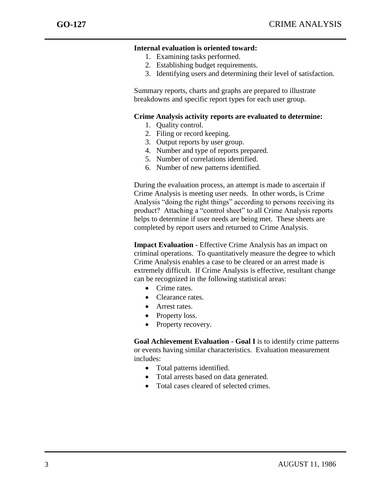j

#### **Internal evaluation is oriented toward:**

- 1. Examining tasks performed.
- 2. Establishing budget requirements.
- 3. Identifying users and determining their level of satisfaction.

Summary reports, charts and graphs are prepared to illustrate breakdowns and specific report types for each user group.

#### **Crime Analysis activity reports are evaluated to determine:**

- 1. Quality control.
- 2. Filing or record keeping.
- 3. Output reports by user group.
- 4. Number and type of reports prepared.
- 5. Number of correlations identified.
- 6. Number of new patterns identified.

During the evaluation process, an attempt is made to ascertain if Crime Analysis is meeting user needs. In other words, is Crime Analysis "doing the right things" according to persons receiving its product? Attaching a "control sheet" to all Crime Analysis reports helps to determine if user needs are being met. These sheets are completed by report users and returned to Crime Analysis.

**Impact Evaluation -** Effective Crime Analysis has an impact on criminal operations. To quantitatively measure the degree to which Crime Analysis enables a case to be cleared or an arrest made is extremely difficult. If Crime Analysis is effective, resultant change can be recognized in the following statistical areas:

- Crime rates.
- Clearance rates.
- **•** Arrest rates.
- Property loss.
- Property recovery.

**Goal Achievement Evaluation - Goal I** is to identify crime patterns or events having similar characteristics. Evaluation measurement includes:

- Total patterns identified.
- Total arrests based on data generated.
- Total cases cleared of selected crimes.